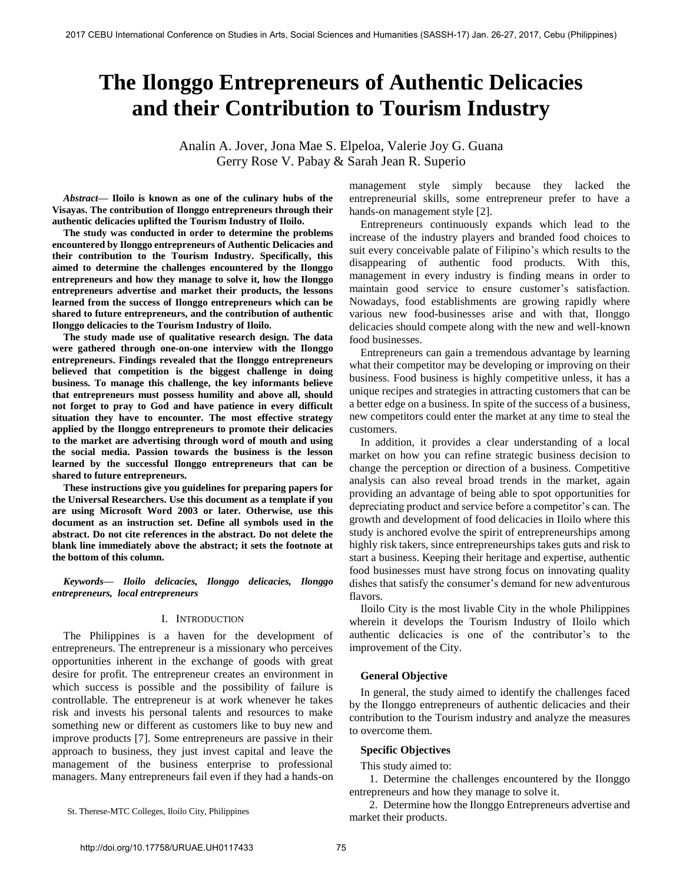# **The Ilonggo Entrepreneurs of Authentic Delicacies and their Contribution to Tourism Industry**

Analin A. Jover, Jona Mae S. Elpeloa, Valerie Joy G. Guana Gerry Rose V. Pabay & Sarah Jean R. Superio

*Abstract***— Iloilo is known as one of the culinary hubs of the Visayas. The contribution of Ilonggo entrepreneurs through their authentic delicacies uplifted the Tourism Industry of Iloilo.** 

**The study was conducted in order to determine the problems encountered by Ilonggo entrepreneurs of Authentic Delicacies and their contribution to the Tourism Industry. Specifically, this aimed to determine the challenges encountered by the Ilonggo entrepreneurs and how they manage to solve it, how the Ilonggo entrepreneurs advertise and market their products, the lessons learned from the success of Ilonggo entrepreneurs which can be shared to future entrepreneurs, and the contribution of authentic Ilonggo delicacies to the Tourism Industry of Iloilo.** 

**The study made use of qualitative research design. The data were gathered through one-on-one interview with the Ilonggo entrepreneurs. Findings revealed that the Ilonggo entrepreneurs believed that competition is the biggest challenge in doing business. To manage this challenge, the key informants believe that entrepreneurs must possess humility and above all, should not forget to pray to God and have patience in every difficult situation they have to encounter. The most effective strategy applied by the Ilonggo entrepreneurs to promote their delicacies to the market are advertising through word of mouth and using the social media. Passion towards the business is the lesson learned by the successful Ilonggo entrepreneurs that can be shared to future entrepreneurs.** 

**These instructions give you guidelines for preparing papers for the Universal Researchers. Use this document as a template if you are using Microsoft Word 2003 or later. Otherwise, use this document as an instruction set. Define all symbols used in the abstract. Do not cite references in the abstract. Do not delete the blank line immediately above the abstract; it sets the footnote at the bottom of this column.** 

*Keywords***—** *Iloilo delicacies, Ilonggo delicacies, Ilonggo entrepreneurs, local entrepreneurs* 

## I. INTRODUCTION

The Philippines is a haven for the development of entrepreneurs. The entrepreneur is a missionary who perceives opportunities inherent in the exchange of goods with great desire for profit. The entrepreneur creates an environment in which success is possible and the possibility of failure is controllable. The entrepreneur is at work whenever he takes risk and invests his personal talents and resources to make something new or different as customers like to buy new and improve products [7]. Some entrepreneurs are passive in their approach to business, they just invest capital and leave the management of the business enterprise to professional managers. Many entrepreneurs fail even if they had a hands-on management style simply because they lacked the entrepreneurial skills, some entrepreneur prefer to have a hands-on management style [2].

Entrepreneurs continuously expands which lead to the increase of the industry players and branded food choices to suit every conceivable palate of Filipino's which results to the disappearing of authentic food products. With this, management in every industry is finding means in order to maintain good service to ensure customer's satisfaction. Nowadays, food establishments are growing rapidly where various new food-businesses arise and with that, Ilonggo delicacies should compete along with the new and well-known food businesses.

Entrepreneurs can gain a tremendous advantage by learning what their competitor may be developing or improving on their business. Food business is highly competitive unless, it has a unique recipes and strategies in attracting customers that can be a better edge on a business. In spite of the success of a business, new competitors could enter the market at any time to steal the customers.

In addition, it provides a clear understanding of a local market on how you can refine strategic business decision to change the perception or direction of a business. Competitive analysis can also reveal broad trends in the market, again providing an advantage of being able to spot opportunities for depreciating product and service before a competitor's can. The growth and development of food delicacies in Iloilo where this study is anchored evolve the spirit of entrepreneurships among highly risk takers, since entrepreneurships takes guts and risk to start a business. Keeping their heritage and expertise, authentic food businesses must have strong focus on innovating quality dishes that satisfy the consumer's demand for new adventurous flavors.

Iloilo City is the most livable City in the whole Philippines wherein it develops the Tourism Industry of Iloilo which authentic delicacies is one of the contributor's to the improvement of the City.

#### **General Objective**

In general, the study aimed to identify the challenges faced by the Ilonggo entrepreneurs of authentic delicacies and their contribution to the Tourism industry and analyze the measures to overcome them.

#### **Specific Objectives**

This study aimed to:

1. Determine the challenges encountered by the Ilonggo entrepreneurs and how they manage to solve it.

2. Determine how the Ilonggo Entrepreneurs advertise and market their products.

St. Therese-MTC Colleges, Iloilo City, Philippines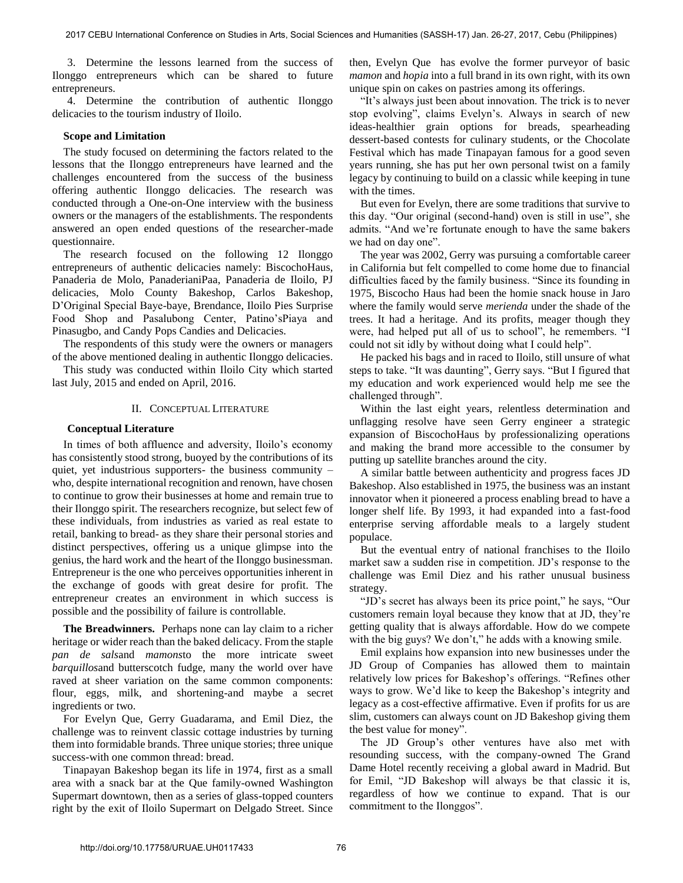3. Determine the lessons learned from the success of Ilonggo entrepreneurs which can be shared to future entrepreneurs.

4. Determine the contribution of authentic Ilonggo delicacies to the tourism industry of Iloilo.

# **Scope and Limitation**

The study focused on determining the factors related to the lessons that the Ilonggo entrepreneurs have learned and the challenges encountered from the success of the business offering authentic Ilonggo delicacies. The research was conducted through a One-on-One interview with the business owners or the managers of the establishments. The respondents answered an open ended questions of the researcher-made questionnaire.

The research focused on the following 12 Ilonggo entrepreneurs of authentic delicacies namely: BiscochoHaus, Panaderia de Molo, PanaderianiPaa, Panaderia de Iloilo, PJ delicacies, Molo County Bakeshop, Carlos Bakeshop, D'Original Special Baye-baye, Brendance, Iloilo Pies Surprise Food Shop and Pasalubong Center, Patino'sPiaya and Pinasugbo, and Candy Pops Candies and Delicacies.

The respondents of this study were the owners or managers of the above mentioned dealing in authentic Ilonggo delicacies.

This study was conducted within Iloilo City which started last July, 2015 and ended on April, 2016.

#### II. CONCEPTUAL LITERATURE

# **Conceptual Literature**

In times of both affluence and adversity, Iloilo's economy has consistently stood strong, buoyed by the contributions of its quiet, yet industrious supporters- the business community – who, despite international recognition and renown, have chosen to continue to grow their businesses at home and remain true to their Ilonggo spirit. The researchers recognize, but select few of these individuals, from industries as varied as real estate to retail, banking to bread- as they share their personal stories and distinct perspectives, offering us a unique glimpse into the genius, the hard work and the heart of the Ilonggo businessman. Entrepreneur is the one who perceives opportunities inherent in the exchange of goods with great desire for profit. The entrepreneur creates an environment in which success is possible and the possibility of failure is controllable.

**The Breadwinners.** Perhaps none can lay claim to a richer heritage or wider reach than the baked delicacy. From the staple *pan de sals*and *mamons*to the more intricate sweet *barquillos*and butterscotch fudge, many the world over have raved at sheer variation on the same common components: flour, eggs, milk, and shortening-and maybe a secret ingredients or two.

For Evelyn Que, Gerry Guadarama, and Emil Diez, the challenge was to reinvent classic cottage industries by turning them into formidable brands. Three unique stories; three unique success-with one common thread: bread.

Tinapayan Bakeshop began its life in 1974, first as a small area with a snack bar at the Que family-owned Washington Supermart downtown, then as a series of glass-topped counters right by the exit of Iloilo Supermart on Delgado Street. Since then, Evelyn Que has evolve the former purveyor of basic *mamon* and *hopia* into a full brand in its own right, with its own unique spin on cakes on pastries among its offerings.

"It's always just been about innovation. The trick is to never stop evolving", claims Evelyn's. Always in search of new ideas-healthier grain options for breads, spearheading dessert-based contests for culinary students, or the Chocolate Festival which has made Tinapayan famous for a good seven years running, she has put her own personal twist on a family legacy by continuing to build on a classic while keeping in tune with the times.

But even for Evelyn, there are some traditions that survive to this day. "Our original (second-hand) oven is still in use", she admits. "And we're fortunate enough to have the same bakers we had on day one".

The year was 2002, Gerry was pursuing a comfortable career in California but felt compelled to come home due to financial difficulties faced by the family business. "Since its founding in 1975, Biscocho Haus had been the homie snack house in Jaro where the family would serve *merienda* under the shade of the trees. It had a heritage. And its profits, meager though they were, had helped put all of us to school", he remembers. "I could not sit idly by without doing what I could help".

He packed his bags and in raced to Iloilo, still unsure of what steps to take. "It was daunting", Gerry says. "But I figured that my education and work experienced would help me see the challenged through".

Within the last eight years, relentless determination and unflagging resolve have seen Gerry engineer a strategic expansion of BiscochoHaus by professionalizing operations and making the brand more accessible to the consumer by putting up satellite branches around the city.

A similar battle between authenticity and progress faces JD Bakeshop. Also established in 1975, the business was an instant innovator when it pioneered a process enabling bread to have a longer shelf life. By 1993, it had expanded into a fast-food enterprise serving affordable meals to a largely student populace.

But the eventual entry of national franchises to the Iloilo market saw a sudden rise in competition. JD's response to the challenge was Emil Diez and his rather unusual business strategy.

"JD's secret has always been its price point," he says, "Our customers remain loyal because they know that at JD, they're getting quality that is always affordable. How do we compete with the big guys? We don't," he adds with a knowing smile.

Emil explains how expansion into new businesses under the JD Group of Companies has allowed them to maintain relatively low prices for Bakeshop's offerings. "Refines other ways to grow. We'd like to keep the Bakeshop's integrity and legacy as a cost-effective affirmative. Even if profits for us are slim, customers can always count on JD Bakeshop giving them the best value for money".

The JD Group's other ventures have also met with resounding success, with the company-owned The Grand Dame Hotel recently receiving a global award in Madrid. But for Emil, "JD Bakeshop will always be that classic it is, regardless of how we continue to expand. That is our commitment to the Ilonggos".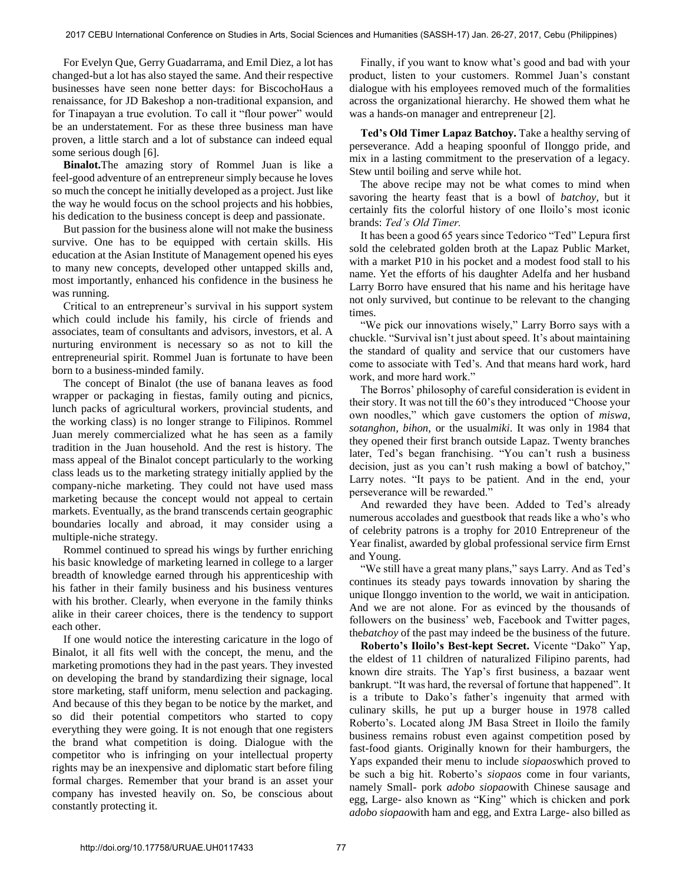For Evelyn Que, Gerry Guadarrama, and Emil Diez, a lot has changed-but a lot has also stayed the same. And their respective businesses have seen none better days: for BiscochoHaus a renaissance, for JD Bakeshop a non-traditional expansion, and for Tinapayan a true evolution. To call it "flour power" would be an understatement. For as these three business man have proven, a little starch and a lot of substance can indeed equal some serious dough [6].

 **Binalot.**The amazing story of Rommel Juan is like a feel-good adventure of an entrepreneur simply because he loves so much the concept he initially developed as a project. Just like the way he would focus on the school projects and his hobbies, his dedication to the business concept is deep and passionate.

But passion for the business alone will not make the business survive. One has to be equipped with certain skills. His education at the Asian Institute of Management opened his eyes to many new concepts, developed other untapped skills and, most importantly, enhanced his confidence in the business he was running.

Critical to an entrepreneur's survival in his support system which could include his family, his circle of friends and associates, team of consultants and advisors, investors, et al. A nurturing environment is necessary so as not to kill the entrepreneurial spirit. Rommel Juan is fortunate to have been born to a business-minded family.

The concept of Binalot (the use of banana leaves as food wrapper or packaging in fiestas, family outing and picnics, lunch packs of agricultural workers, provincial students, and the working class) is no longer strange to Filipinos. Rommel Juan merely commercialized what he has seen as a family tradition in the Juan household. And the rest is history. The mass appeal of the Binalot concept particularly to the working class leads us to the marketing strategy initially applied by the company-niche marketing. They could not have used mass marketing because the concept would not appeal to certain markets. Eventually, as the brand transcends certain geographic boundaries locally and abroad, it may consider using a multiple-niche strategy.

Rommel continued to spread his wings by further enriching his basic knowledge of marketing learned in college to a larger breadth of knowledge earned through his apprenticeship with his father in their family business and his business ventures with his brother. Clearly, when everyone in the family thinks alike in their career choices, there is the tendency to support each other.

If one would notice the interesting caricature in the logo of Binalot, it all fits well with the concept, the menu, and the marketing promotions they had in the past years. They invested on developing the brand by standardizing their signage, local store marketing, staff uniform, menu selection and packaging. And because of this they began to be notice by the market, and so did their potential competitors who started to copy everything they were going. It is not enough that one registers the brand what competition is doing. Dialogue with the competitor who is infringing on your intellectual property rights may be an inexpensive and diplomatic start before filing formal charges. Remember that your brand is an asset your company has invested heavily on. So, be conscious about constantly protecting it.

Finally, if you want to know what's good and bad with your product, listen to your customers. Rommel Juan's constant dialogue with his employees removed much of the formalities across the organizational hierarchy. He showed them what he was a hands-on manager and entrepreneur [2].

**Ted's Old Timer Lapaz Batchoy.** Take a healthy serving of perseverance. Add a heaping spoonful of Ilonggo pride, and mix in a lasting commitment to the preservation of a legacy. Stew until boiling and serve while hot.

The above recipe may not be what comes to mind when savoring the hearty feast that is a bowl of *batchoy*, but it certainly fits the colorful history of one Iloilo's most iconic brands: *Ted's Old Timer.*

It has been a good 65 years since Tedorico "Ted" Lepura first sold the celebrated golden broth at the Lapaz Public Market, with a market P10 in his pocket and a modest food stall to his name. Yet the efforts of his daughter Adelfa and her husband Larry Borro have ensured that his name and his heritage have not only survived, but continue to be relevant to the changing times.

"We pick our innovations wisely," Larry Borro says with a chuckle. "Survival isn't just about speed. It's about maintaining the standard of quality and service that our customers have come to associate with Ted's. And that means hard work*,* hard work, and more hard work."

The Borros' philosophy of careful consideration is evident in their story. It was not till the 60's they introduced "Choose your own noodles," which gave customers the option of *miswa, sotanghon, bihon,* or the usual*miki*. It was only in 1984 that they opened their first branch outside Lapaz. Twenty branches later, Ted's began franchising. "You can't rush a business decision, just as you can't rush making a bowl of batchoy," Larry notes. "It pays to be patient. And in the end, your perseverance will be rewarded."

And rewarded they have been. Added to Ted's already numerous accolades and guestbook that reads like a who's who of celebrity patrons is a trophy for 2010 Entrepreneur of the Year finalist, awarded by global professional service firm Ernst and Young.

"We still have a great many plans," says Larry. And as Ted's continues its steady pays towards innovation by sharing the unique Ilonggo invention to the world, we wait in anticipation. And we are not alone. For as evinced by the thousands of followers on the business' web, Facebook and Twitter pages, the*batchoy* of the past may indeed be the business of the future.

**Roberto's Iloilo's Best-kept Secret.** Vicente "Dako" Yap, the eldest of 11 children of naturalized Filipino parents, had known dire straits. The Yap's first business, a bazaar went bankrupt. "It was hard, the reversal of fortune that happened". It is a tribute to Dako's father's ingenuity that armed with culinary skills, he put up a burger house in 1978 called Roberto's. Located along JM Basa Street in Iloilo the family business remains robust even against competition posed by fast-food giants. Originally known for their hamburgers, the Yaps expanded their menu to include *siopaos*which proved to be such a big hit. Roberto's *siopaos* come in four variants, namely Small- pork *adobo siopao*with Chinese sausage and egg, Large- also known as "King" which is chicken and pork *adobo siopao*with ham and egg, and Extra Large- also billed as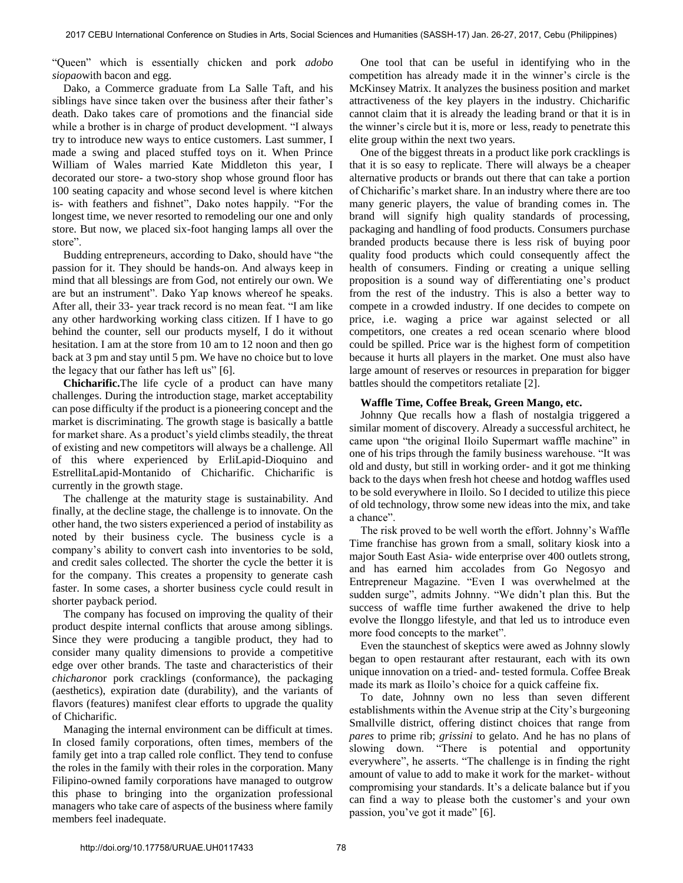"Queen" which is essentially chicken and pork *adobo siopao*with bacon and egg.

Dako, a Commerce graduate from La Salle Taft, and his siblings have since taken over the business after their father's death. Dako takes care of promotions and the financial side while a brother is in charge of product development. "I always try to introduce new ways to entice customers. Last summer, I made a swing and placed stuffed toys on it. When Prince William of Wales married Kate Middleton this year, I decorated our store- a two-story shop whose ground floor has 100 seating capacity and whose second level is where kitchen is- with feathers and fishnet", Dako notes happily. "For the longest time, we never resorted to remodeling our one and only store. But now, we placed six-foot hanging lamps all over the store".

Budding entrepreneurs, according to Dako, should have "the passion for it. They should be hands-on. And always keep in mind that all blessings are from God, not entirely our own. We are but an instrument". Dako Yap knows whereof he speaks. After all, their 33- year track record is no mean feat. "I am like any other hardworking working class citizen. If I have to go behind the counter, sell our products myself, I do it without hesitation. I am at the store from 10 am to 12 noon and then go back at 3 pm and stay until 5 pm. We have no choice but to love the legacy that our father has left us" [6].

**Chicharific.**The life cycle of a product can have many challenges. During the introduction stage, market acceptability can pose difficulty if the product is a pioneering concept and the market is discriminating. The growth stage is basically a battle for market share. As a product's yield climbs steadily, the threat of existing and new competitors will always be a challenge. All of this where experienced by ErliLapid-Dioquino and EstrellitaLapid-Montanido of Chicharific. Chicharific is currently in the growth stage.

The challenge at the maturity stage is sustainability. And finally, at the decline stage, the challenge is to innovate. On the other hand, the two sisters experienced a period of instability as noted by their business cycle. The business cycle is a company's ability to convert cash into inventories to be sold, and credit sales collected. The shorter the cycle the better it is for the company. This creates a propensity to generate cash faster. In some cases, a shorter business cycle could result in shorter payback period.

The company has focused on improving the quality of their product despite internal conflicts that arouse among siblings. Since they were producing a tangible product, they had to consider many quality dimensions to provide a competitive edge over other brands. The taste and characteristics of their *chicharon*or pork cracklings (conformance), the packaging (aesthetics), expiration date (durability), and the variants of flavors (features) manifest clear efforts to upgrade the quality of Chicharific.

Managing the internal environment can be difficult at times. In closed family corporations, often times, members of the family get into a trap called role conflict. They tend to confuse the roles in the family with their roles in the corporation. Many Filipino-owned family corporations have managed to outgrow this phase to bringing into the organization professional managers who take care of aspects of the business where family members feel inadequate.

One tool that can be useful in identifying who in the competition has already made it in the winner's circle is the McKinsey Matrix. It analyzes the business position and market attractiveness of the key players in the industry. Chicharific cannot claim that it is already the leading brand or that it is in the winner's circle but it is, more or less, ready to penetrate this elite group within the next two years.

One of the biggest threats in a product like pork cracklings is that it is so easy to replicate. There will always be a cheaper alternative products or brands out there that can take a portion of Chicharific's market share. In an industry where there are too many generic players, the value of branding comes in. The brand will signify high quality standards of processing, packaging and handling of food products. Consumers purchase branded products because there is less risk of buying poor quality food products which could consequently affect the health of consumers. Finding or creating a unique selling proposition is a sound way of differentiating one's product from the rest of the industry. This is also a better way to compete in a crowded industry. If one decides to compete on price, i.e. waging a price war against selected or all competitors, one creates a red ocean scenario where blood could be spilled. Price war is the highest form of competition because it hurts all players in the market. One must also have large amount of reserves or resources in preparation for bigger battles should the competitors retaliate [2].

# **Waffle Time, Coffee Break, Green Mango, etc.**

Johnny Que recalls how a flash of nostalgia triggered a similar moment of discovery. Already a successful architect, he came upon "the original Iloilo Supermart waffle machine" in one of his trips through the family business warehouse. "It was old and dusty, but still in working order- and it got me thinking back to the days when fresh hot cheese and hotdog waffles used to be sold everywhere in Iloilo. So I decided to utilize this piece of old technology, throw some new ideas into the mix, and take a chance".

The risk proved to be well worth the effort. Johnny's Waffle Time franchise has grown from a small, solitary kiosk into a major South East Asia- wide enterprise over 400 outlets strong, and has earned him accolades from Go Negosyo and Entrepreneur Magazine. "Even I was overwhelmed at the sudden surge", admits Johnny. "We didn't plan this. But the success of waffle time further awakened the drive to help evolve the Ilonggo lifestyle, and that led us to introduce even more food concepts to the market".

Even the staunchest of skeptics were awed as Johnny slowly began to open restaurant after restaurant, each with its own unique innovation on a tried- and- tested formula. Coffee Break made its mark as Iloilo's choice for a quick caffeine fix.

To date, Johnny own no less than seven different establishments within the Avenue strip at the City's burgeoning Smallville district, offering distinct choices that range from *pares* to prime rib; *grissini* to gelato. And he has no plans of slowing down. "There is potential and opportunity everywhere", he asserts. "The challenge is in finding the right amount of value to add to make it work for the market- without compromising your standards. It's a delicate balance but if you can find a way to please both the customer's and your own passion, you've got it made" [6].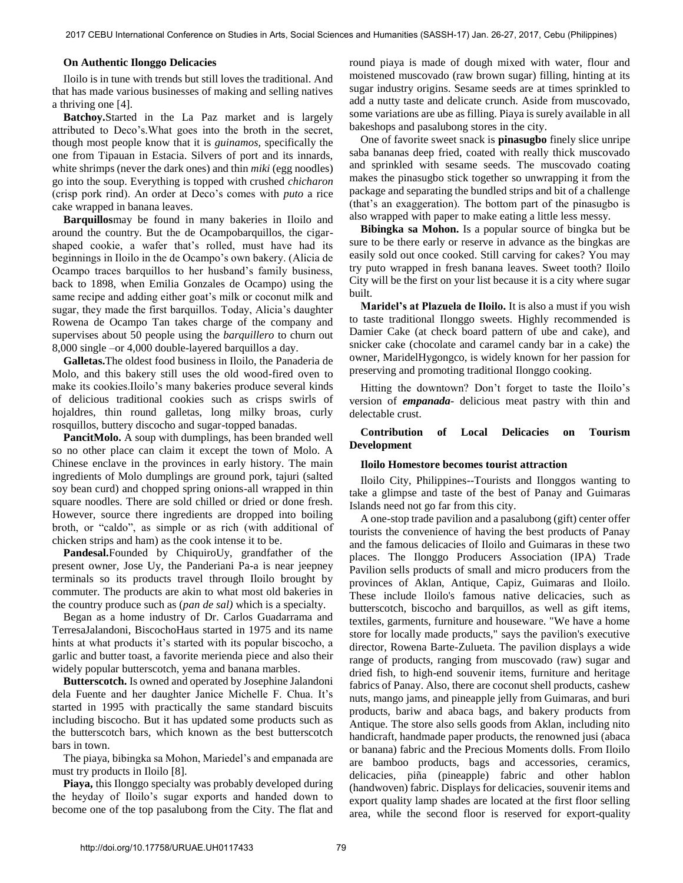# **On Authentic Ilonggo Delicacies**

Iloilo is in tune with trends but still loves the traditional. And that has made various businesses of making and selling natives a thriving one [4].

**Batchoy.**Started in the La Paz market and is largely attributed to Deco's.What goes into the broth in the secret, though most people know that it is *guinamos,* specifically the one from Tipauan in Estacia. Silvers of port and its innards, white shrimps (never the dark ones) and thin *miki* (egg noodles) go into the soup. Everything is topped with crushed *chicharon* (crisp pork rind). An order at Deco's comes with *puto* a rice cake wrapped in banana leaves.

**Barquillos**may be found in many bakeries in Iloilo and around the country. But the de Ocampobarquillos, the cigarshaped cookie, a wafer that's rolled, must have had its beginnings in Iloilo in the de Ocampo's own bakery. (Alicia de Ocampo traces barquillos to her husband's family business, back to 1898, when Emilia Gonzales de Ocampo) using the same recipe and adding either goat's milk or coconut milk and sugar, they made the first barquillos. Today, Alicia's daughter Rowena de Ocampo Tan takes charge of the company and supervises about 50 people using the *barquillero* to churn out 8,000 single –or 4,000 double-layered barquillos a day.

**Galletas.**The oldest food business in Iloilo, the Panaderia de Molo, and this bakery still uses the old wood-fired oven to make its cookies.Iloilo's many bakeries produce several kinds of delicious traditional cookies such as crisps swirls of hojaldres, thin round galletas, long milky broas, curly rosquillos, buttery discocho and sugar-topped banadas.

**PancitMolo.** A soup with dumplings, has been branded well so no other place can claim it except the town of Molo. A Chinese enclave in the provinces in early history. The main ingredients of Molo dumplings are ground pork, tajuri (salted soy bean curd) and chopped spring onions-all wrapped in thin square noodles. There are sold chilled or dried or done fresh. However, source there ingredients are dropped into boiling broth, or "caldo", as simple or as rich (with additional of chicken strips and ham) as the cook intense it to be.

**Pandesal.**Founded by ChiquiroUy, grandfather of the present owner, Jose Uy, the Panderiani Pa-a is near jeepney terminals so its products travel through Iloilo brought by commuter. The products are akin to what most old bakeries in the country produce such as (*pan de sal)* which is a specialty.

Began as a home industry of Dr. Carlos Guadarrama and TerresaJalandoni, BiscochoHaus started in 1975 and its name hints at what products it's started with its popular biscocho, a garlic and butter toast, a favorite merienda piece and also their widely popular butterscotch, yema and banana marbles.

**Butterscotch.** Is owned and operated by Josephine Jalandoni dela Fuente and her daughter Janice Michelle F. Chua. It's started in 1995 with practically the same standard biscuits including biscocho. But it has updated some products such as the butterscotch bars, which known as the best butterscotch bars in town.

The piaya, bibingka sa Mohon, Mariedel's and empanada are must try products in Iloilo [8].

**Piaya,** this Ilonggo specialty was probably developed during the heyday of Iloilo's sugar exports and handed down to become one of the top pasalubong from the City. The flat and round piaya is made of dough mixed with water, flour and moistened muscovado (raw brown sugar) filling, hinting at its sugar industry origins. Sesame seeds are at times sprinkled to add a nutty taste and delicate crunch. Aside from muscovado, some variations are ube as filling. Piaya is surely available in all bakeshops and pasalubong stores in the city.

One of favorite sweet snack is **pinasugbo** finely slice unripe saba bananas deep fried, coated with really thick muscovado and sprinkled with sesame seeds. The muscovado coating makes the pinasugbo stick together so unwrapping it from the package and separating the bundled strips and bit of a challenge (that's an exaggeration). The bottom part of the pinasugbo is also wrapped with paper to make eating a little less messy.

**Bibingka sa Mohon.** Is a popular source of bingka but be sure to be there early or reserve in advance as the bingkas are easily sold out once cooked. Still carving for cakes? You may try puto wrapped in fresh banana leaves. Sweet tooth? Iloilo City will be the first on your list because it is a city where sugar built.

**Maridel's at Plazuela de Iloilo.** It is also a must if you wish to taste traditional Ilonggo sweets. Highly recommended is Damier Cake (at check board pattern of ube and cake), and snicker cake (chocolate and caramel candy bar in a cake) the owner, MaridelHygongco, is widely known for her passion for preserving and promoting traditional Ilonggo cooking.

Hitting the downtown? Don't forget to taste the Iloilo's version of *empanada-* delicious meat pastry with thin and delectable crust.

# **Contribution of Local Delicacies on Tourism Development**

#### **Iloilo Homestore becomes tourist attraction**

Iloilo City, Philippines--Tourists and Ilonggos wanting to take a glimpse and taste of the best of Panay and Guimaras Islands need not go far from this city.

A one-stop trade pavilion and a pasalubong (gift) center offer tourists the convenience of having the best products of Panay and the famous delicacies of Iloilo and Guimaras in these two places. The Ilonggo Producers Association (IPA) Trade Pavilion sells products of small and micro producers from the provinces of Aklan, Antique, Capiz, Guimaras and Iloilo. These include Iloilo's famous native delicacies, such as butterscotch, biscocho and barquillos, as well as gift items, textiles, garments, furniture and houseware. "We have a home store for locally made products," says the pavilion's executive director, Rowena Barte-Zulueta. The pavilion displays a wide range of products, ranging from muscovado (raw) sugar and dried fish, to high-end souvenir items, furniture and heritage fabrics of Panay. Also, there are coconut shell products, cashew nuts, mango jams, and pineapple jelly from Guimaras, and buri products, bariw and abaca bags, and bakery products from Antique. The store also sells goods from Aklan, including nito handicraft, handmade paper products, the renowned jusi (abaca or banana) fabric and the Precious Moments dolls. From Iloilo are bamboo products, bags and accessories, ceramics, delicacies, piña (pineapple) fabric and other hablon (handwoven) fabric. Displays for delicacies, souvenir items and export quality lamp shades are located at the first floor selling area, while the second floor is reserved for export-quality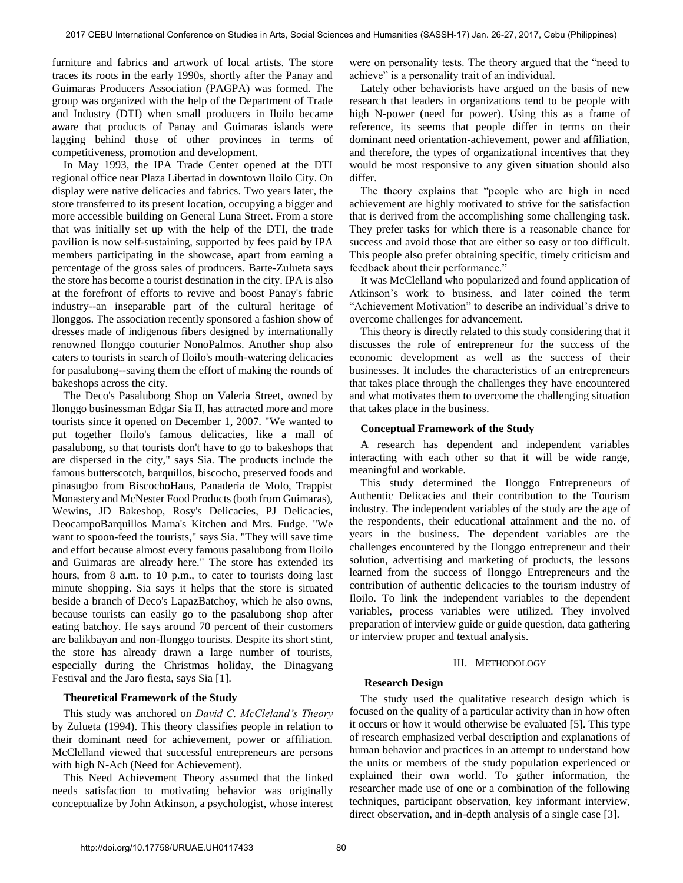furniture and fabrics and artwork of local artists. The store traces its roots in the early 1990s, shortly after the Panay and Guimaras Producers Association (PAGPA) was formed. The group was organized with the help of the Department of Trade and Industry (DTI) when small producers in Iloilo became aware that products of Panay and Guimaras islands were lagging behind those of other provinces in terms of competitiveness, promotion and development.

In May 1993, the IPA Trade Center opened at the DTI regional office near Plaza Libertad in downtown Iloilo City. On display were native delicacies and fabrics. Two years later, the store transferred to its present location, occupying a bigger and more accessible building on General Luna Street. From a store that was initially set up with the help of the DTI, the trade pavilion is now self-sustaining, supported by fees paid by IPA members participating in the showcase, apart from earning a percentage of the gross sales of producers. Barte-Zulueta says the store has become a tourist destination in the city. IPA is also at the forefront of efforts to revive and boost Panay's fabric industry--an inseparable part of the cultural heritage of Ilonggos. The association recently sponsored a fashion show of dresses made of indigenous fibers designed by internationally renowned Ilonggo couturier NonoPalmos. Another shop also caters to tourists in search of Iloilo's mouth-watering delicacies for pasalubong--saving them the effort of making the rounds of bakeshops across the city.

The Deco's Pasalubong Shop on Valeria Street, owned by Ilonggo businessman Edgar Sia II, has attracted more and more tourists since it opened on December 1, 2007. "We wanted to put together Iloilo's famous delicacies, like a mall of pasalubong, so that tourists don't have to go to bakeshops that are dispersed in the city," says Sia. The products include the famous butterscotch, barquillos, biscocho, preserved foods and pinasugbo from BiscochoHaus, Panaderia de Molo, Trappist Monastery and McNester Food Products (both from Guimaras), Wewins, JD Bakeshop, Rosy's Delicacies, PJ Delicacies, DeocampoBarquillos Mama's Kitchen and Mrs. Fudge. "We want to spoon-feed the tourists," says Sia. "They will save time and effort because almost every famous pasalubong from Iloilo and Guimaras are already here." The store has extended its hours, from 8 a.m. to 10 p.m., to cater to tourists doing last minute shopping. Sia says it helps that the store is situated beside a branch of Deco's LapazBatchoy, which he also owns, because tourists can easily go to the pasalubong shop after eating batchoy. He says around 70 percent of their customers are balikbayan and non-Ilonggo tourists. Despite its short stint, the store has already drawn a large number of tourists, especially during the Christmas holiday, the Dinagyang Festival and the Jaro fiesta, says Sia [1].

#### **Theoretical Framework of the Study**

This study was anchored on *David C. McCleland's Theory*  by Zulueta (1994). This theory classifies people in relation to their dominant need for achievement, power or affiliation. McClelland viewed that successful entrepreneurs are persons with high N-Ach (Need for Achievement).

This Need Achievement Theory assumed that the linked needs satisfaction to motivating behavior was originally conceptualize by John Atkinson, a psychologist, whose interest

were on personality tests. The theory argued that the "need to achieve" is a personality trait of an individual.

Lately other behaviorists have argued on the basis of new research that leaders in organizations tend to be people with high N-power (need for power). Using this as a frame of reference, its seems that people differ in terms on their dominant need orientation-achievement, power and affiliation, and therefore, the types of organizational incentives that they would be most responsive to any given situation should also differ.

The theory explains that "people who are high in need achievement are highly motivated to strive for the satisfaction that is derived from the accomplishing some challenging task. They prefer tasks for which there is a reasonable chance for success and avoid those that are either so easy or too difficult. This people also prefer obtaining specific, timely criticism and feedback about their performance."

It was McClelland who popularized and found application of Atkinson's work to business, and later coined the term "Achievement Motivation" to describe an individual's drive to overcome challenges for advancement.

This theory is directly related to this study considering that it discusses the role of entrepreneur for the success of the economic development as well as the success of their businesses. It includes the characteristics of an entrepreneurs that takes place through the challenges they have encountered and what motivates them to overcome the challenging situation that takes place in the business.

#### **Conceptual Framework of the Study**

A research has dependent and independent variables interacting with each other so that it will be wide range, meaningful and workable.

This study determined the Ilonggo Entrepreneurs of Authentic Delicacies and their contribution to the Tourism industry. The independent variables of the study are the age of the respondents, their educational attainment and the no. of years in the business. The dependent variables are the challenges encountered by the Ilonggo entrepreneur and their solution, advertising and marketing of products, the lessons learned from the success of Ilonggo Entrepreneurs and the contribution of authentic delicacies to the tourism industry of Iloilo. To link the independent variables to the dependent variables, process variables were utilized. They involved preparation of interview guide or guide question, data gathering or interview proper and textual analysis.

# III. METHODOLOGY

#### **Research Design**

The study used the qualitative research design which is focused on the quality of a particular activity than in how often it occurs or how it would otherwise be evaluated [5]. This type of research emphasized verbal description and explanations of human behavior and practices in an attempt to understand how the units or members of the study population experienced or explained their own world. To gather information, the researcher made use of one or a combination of the following techniques, participant observation, key informant interview, direct observation, and in-depth analysis of a single case [3].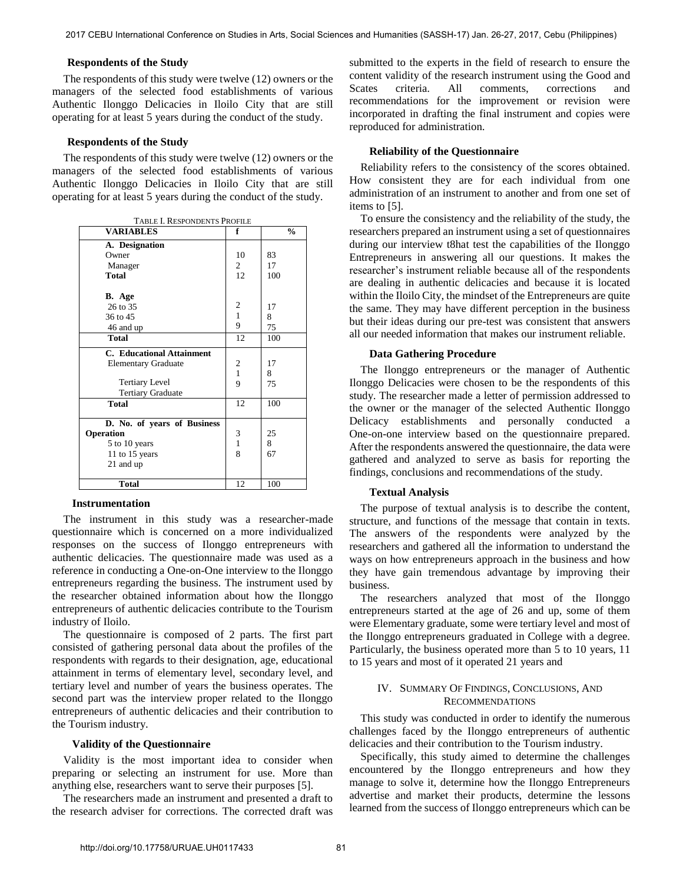#### **Respondents of the Study**

The respondents of this study were twelve (12) owners or the managers of the selected food establishments of various Authentic Ilonggo Delicacies in Iloilo City that are still operating for at least 5 years during the conduct of the study.

# **Respondents of the Study**

The respondents of this study were twelve (12) owners or the managers of the selected food establishments of various Authentic Ilonggo Delicacies in Iloilo City that are still operating for at least 5 years during the conduct of the study.

| TABLE I. RESPONDENTS PROFILE     |                |               |
|----------------------------------|----------------|---------------|
| <b>VARIABLES</b>                 | f              | $\frac{0}{0}$ |
| A. Designation                   |                |               |
| Owner                            | 10             | 83            |
| Manager                          | $\overline{2}$ | 17            |
| Total                            | 12             | 100           |
|                                  |                |               |
| B. Age                           |                |               |
| 26 to 35                         | 2              | 17            |
| 36 to 45                         | 1              | 8             |
| 46 and up                        | 9              | 75            |
| <b>Total</b>                     | 12             | 100           |
| <b>C.</b> Educational Attainment |                |               |
| <b>Elementary Graduate</b>       | 2              | 17            |
|                                  | $\mathbf{1}$   | 8             |
| <b>Tertiary Level</b>            | 9              | 75            |
| <b>Tertiary Graduate</b>         |                |               |
| <b>Total</b>                     | 12             | 100           |
| D. No. of years of Business      |                |               |
| Operation                        | 3              | 25            |
| 5 to 10 years                    | $\mathbf{1}$   | 8             |
| 11 to 15 years                   | 8              | 67            |
| 21 and up                        |                |               |
|                                  |                |               |
| <b>Total</b>                     | 12             | 100           |

# **Instrumentation**

The instrument in this study was a researcher-made questionnaire which is concerned on a more individualized responses on the success of Ilonggo entrepreneurs with authentic delicacies. The questionnaire made was used as a reference in conducting a One-on-One interview to the Ilonggo entrepreneurs regarding the business. The instrument used by the researcher obtained information about how the Ilonggo entrepreneurs of authentic delicacies contribute to the Tourism industry of Iloilo.

The questionnaire is composed of 2 parts. The first part consisted of gathering personal data about the profiles of the respondents with regards to their designation, age, educational attainment in terms of elementary level, secondary level, and tertiary level and number of years the business operates. The second part was the interview proper related to the Ilonggo entrepreneurs of authentic delicacies and their contribution to the Tourism industry.

#### **Validity of the Questionnaire**

Validity is the most important idea to consider when preparing or selecting an instrument for use. More than anything else, researchers want to serve their purposes [5].

The researchers made an instrument and presented a draft to the research adviser for corrections. The corrected draft was submitted to the experts in the field of research to ensure the content validity of the research instrument using the Good and Scates criteria. All comments, corrections and recommendations for the improvement or revision were incorporated in drafting the final instrument and copies were reproduced for administration.

#### **Reliability of the Questionnaire**

Reliability refers to the consistency of the scores obtained. How consistent they are for each individual from one administration of an instrument to another and from one set of items to [5].

To ensure the consistency and the reliability of the study, the researchers prepared an instrument using a set of questionnaires during our interview t8hat test the capabilities of the Ilonggo Entrepreneurs in answering all our questions. It makes the researcher's instrument reliable because all of the respondents are dealing in authentic delicacies and because it is located within the Iloilo City, the mindset of the Entrepreneurs are quite the same. They may have different perception in the business but their ideas during our pre-test was consistent that answers all our needed information that makes our instrument reliable.

#### **Data Gathering Procedure**

The Ilonggo entrepreneurs or the manager of Authentic Ilonggo Delicacies were chosen to be the respondents of this study. The researcher made a letter of permission addressed to the owner or the manager of the selected Authentic Ilonggo Delicacy establishments and personally conducted a One-on-one interview based on the questionnaire prepared. After the respondents answered the questionnaire, the data were gathered and analyzed to serve as basis for reporting the findings, conclusions and recommendations of the study.

#### **Textual Analysis**

The purpose of textual analysis is to describe the content, structure, and functions of the message that contain in texts. The answers of the respondents were analyzed by the researchers and gathered all the information to understand the ways on how entrepreneurs approach in the business and how they have gain tremendous advantage by improving their business.

The researchers analyzed that most of the Ilonggo entrepreneurs started at the age of 26 and up, some of them were Elementary graduate, some were tertiary level and most of the Ilonggo entrepreneurs graduated in College with a degree. Particularly, the business operated more than 5 to 10 years, 11 to 15 years and most of it operated 21 years and

#### IV. SUMMARY OF FINDINGS, CONCLUSIONS, AND RECOMMENDATIONS

This study was conducted in order to identify the numerous challenges faced by the Ilonggo entrepreneurs of authentic delicacies and their contribution to the Tourism industry.

Specifically, this study aimed to determine the challenges encountered by the Ilonggo entrepreneurs and how they manage to solve it, determine how the Ilonggo Entrepreneurs advertise and market their products, determine the lessons learned from the success of Ilonggo entrepreneurs which can be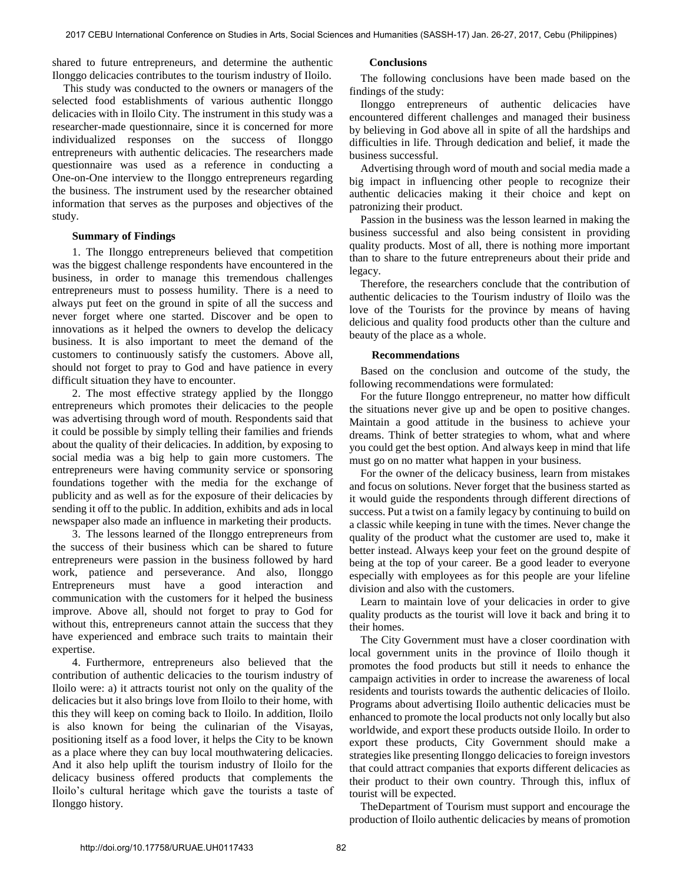shared to future entrepreneurs, and determine the authentic Ilonggo delicacies contributes to the tourism industry of Iloilo.

This study was conducted to the owners or managers of the selected food establishments of various authentic Ilonggo delicacies with in Iloilo City. The instrument in this study was a researcher-made questionnaire, since it is concerned for more individualized responses on the success of Ilonggo entrepreneurs with authentic delicacies. The researchers made questionnaire was used as a reference in conducting a One-on-One interview to the Ilonggo entrepreneurs regarding the business. The instrument used by the researcher obtained information that serves as the purposes and objectives of the study.

# **Summary of Findings**

1. The Ilonggo entrepreneurs believed that competition was the biggest challenge respondents have encountered in the business, in order to manage this tremendous challenges entrepreneurs must to possess humility. There is a need to always put feet on the ground in spite of all the success and never forget where one started. Discover and be open to innovations as it helped the owners to develop the delicacy business. It is also important to meet the demand of the customers to continuously satisfy the customers. Above all, should not forget to pray to God and have patience in every difficult situation they have to encounter.

2. The most effective strategy applied by the Ilonggo entrepreneurs which promotes their delicacies to the people was advertising through word of mouth. Respondents said that it could be possible by simply telling their families and friends about the quality of their delicacies. In addition, by exposing to social media was a big help to gain more customers. The entrepreneurs were having community service or sponsoring foundations together with the media for the exchange of publicity and as well as for the exposure of their delicacies by sending it off to the public. In addition, exhibits and ads in local newspaper also made an influence in marketing their products.

3. The lessons learned of the Ilonggo entrepreneurs from the success of their business which can be shared to future entrepreneurs were passion in the business followed by hard work, patience and perseverance. And also, Ilonggo Entrepreneurs must have a good interaction and communication with the customers for it helped the business improve. Above all, should not forget to pray to God for without this, entrepreneurs cannot attain the success that they have experienced and embrace such traits to maintain their expertise.

4. Furthermore, entrepreneurs also believed that the contribution of authentic delicacies to the tourism industry of Iloilo were: a) it attracts tourist not only on the quality of the delicacies but it also brings love from Iloilo to their home, with this they will keep on coming back to Iloilo. In addition, Iloilo is also known for being the culinarian of the Visayas, positioning itself as a food lover, it helps the City to be known as a place where they can buy local mouthwatering delicacies. And it also help uplift the tourism industry of Iloilo for the delicacy business offered products that complements the Iloilo's cultural heritage which gave the tourists a taste of Ilonggo history.

# **Conclusions**

The following conclusions have been made based on the findings of the study:

Ilonggo entrepreneurs of authentic delicacies have encountered different challenges and managed their business by believing in God above all in spite of all the hardships and difficulties in life. Through dedication and belief, it made the business successful.

Advertising through word of mouth and social media made a big impact in influencing other people to recognize their authentic delicacies making it their choice and kept on patronizing their product.

Passion in the business was the lesson learned in making the business successful and also being consistent in providing quality products. Most of all, there is nothing more important than to share to the future entrepreneurs about their pride and legacy.

Therefore, the researchers conclude that the contribution of authentic delicacies to the Tourism industry of Iloilo was the love of the Tourists for the province by means of having delicious and quality food products other than the culture and beauty of the place as a whole.

# **Recommendations**

Based on the conclusion and outcome of the study, the following recommendations were formulated:

For the future Ilonggo entrepreneur, no matter how difficult the situations never give up and be open to positive changes. Maintain a good attitude in the business to achieve your dreams. Think of better strategies to whom, what and where you could get the best option. And always keep in mind that life must go on no matter what happen in your business.

For the owner of the delicacy business, learn from mistakes and focus on solutions. Never forget that the business started as it would guide the respondents through different directions of success. Put a twist on a family legacy by continuing to build on a classic while keeping in tune with the times. Never change the quality of the product what the customer are used to, make it better instead. Always keep your feet on the ground despite of being at the top of your career. Be a good leader to everyone especially with employees as for this people are your lifeline division and also with the customers.

Learn to maintain love of your delicacies in order to give quality products as the tourist will love it back and bring it to their homes.

The City Government must have a closer coordination with local government units in the province of Iloilo though it promotes the food products but still it needs to enhance the campaign activities in order to increase the awareness of local residents and tourists towards the authentic delicacies of Iloilo. Programs about advertising Iloilo authentic delicacies must be enhanced to promote the local products not only locally but also worldwide, and export these products outside Iloilo. In order to export these products, City Government should make a strategies like presenting Ilonggo delicacies to foreign investors that could attract companies that exports different delicacies as their product to their own country. Through this, influx of tourist will be expected.

TheDepartment of Tourism must support and encourage the production of Iloilo authentic delicacies by means of promotion